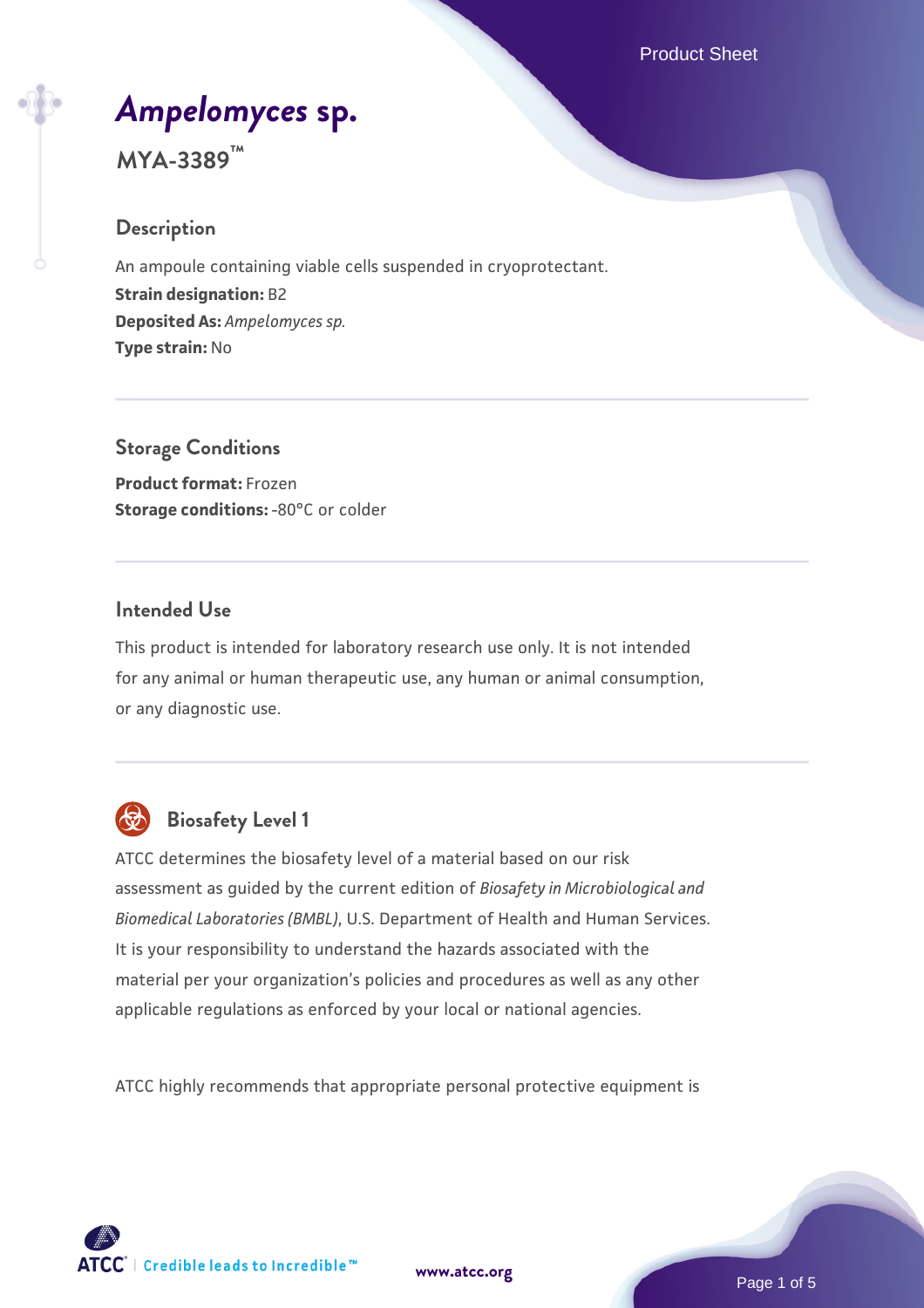Product Sheet

# *[Ampelomyces](https://www.atcc.org/products/mya-3389)* **[sp.](https://www.atcc.org/products/mya-3389)**

**MYA-3389™**

#### **Description**

An ampoule containing viable cells suspended in cryoprotectant. **Strain designation:** B2 **Deposited As:** *Ampelomyces sp.* **Type strain:** No

**Storage Conditions Product format:** Frozen **Storage conditions: -80°C or colder** 

#### **Intended Use**

This product is intended for laboratory research use only. It is not intended for any animal or human therapeutic use, any human or animal consumption, or any diagnostic use.



## **Biosafety Level 1**

ATCC determines the biosafety level of a material based on our risk assessment as guided by the current edition of *Biosafety in Microbiological and Biomedical Laboratories (BMBL)*, U.S. Department of Health and Human Services. It is your responsibility to understand the hazards associated with the material per your organization's policies and procedures as well as any other applicable regulations as enforced by your local or national agencies.

ATCC highly recommends that appropriate personal protective equipment is

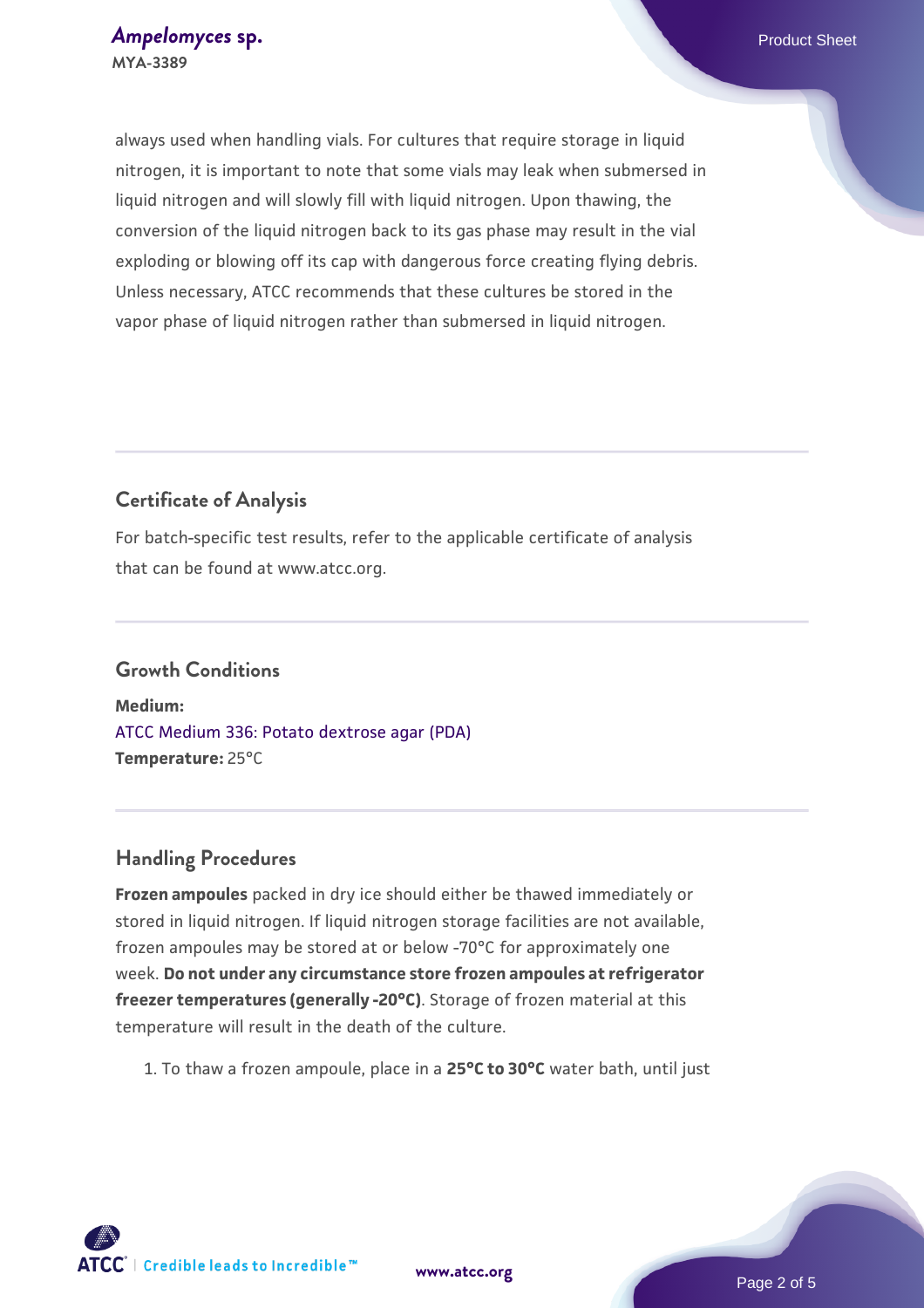always used when handling vials. For cultures that require storage in liquid nitrogen, it is important to note that some vials may leak when submersed in liquid nitrogen and will slowly fill with liquid nitrogen. Upon thawing, the conversion of the liquid nitrogen back to its gas phase may result in the vial exploding or blowing off its cap with dangerous force creating flying debris. Unless necessary, ATCC recommends that these cultures be stored in the vapor phase of liquid nitrogen rather than submersed in liquid nitrogen.

### **Certificate of Analysis**

For batch-specific test results, refer to the applicable certificate of analysis that can be found at www.atcc.org.

## **Growth Conditions**

**Medium:**  [ATCC Medium 336: Potato dextrose agar \(PDA\)](https://www.atcc.org/-/media/product-assets/documents/microbial-media-formulations/3/3/6/atcc-medium-336.pdf?rev=d9160ad44d934cd8b65175461abbf3b9) **Temperature:** 25°C

#### **Handling Procedures**

**Frozen ampoules** packed in dry ice should either be thawed immediately or stored in liquid nitrogen. If liquid nitrogen storage facilities are not available, frozen ampoules may be stored at or below -70°C for approximately one week. **Do not under any circumstance store frozen ampoules at refrigerator freezer temperatures (generally -20°C)**. Storage of frozen material at this temperature will result in the death of the culture.

1. To thaw a frozen ampoule, place in a **25°C to 30°C** water bath, until just

**[www.atcc.org](http://www.atcc.org)**

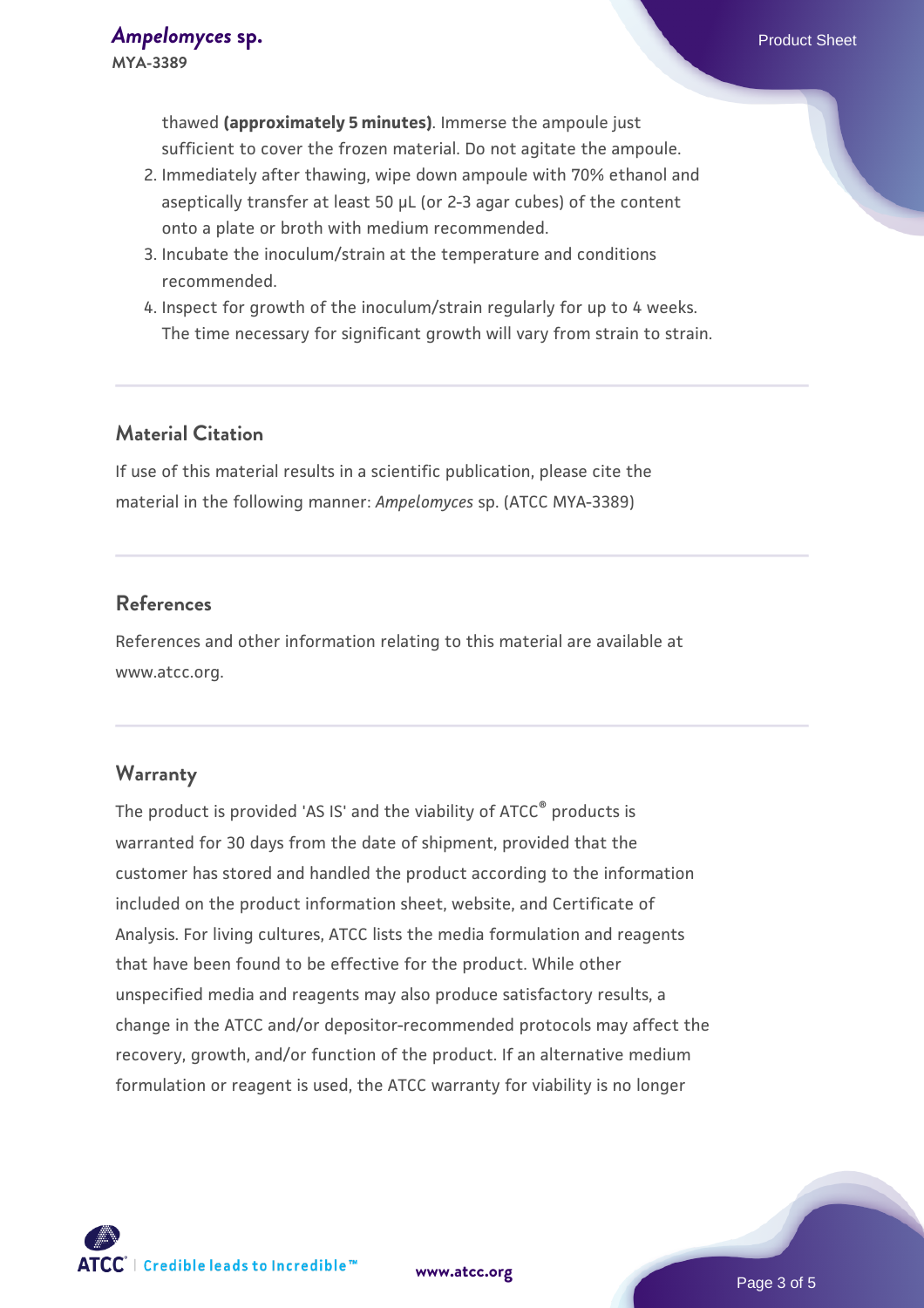- 2. Immediately after thawing, wipe down ampoule with 70% ethanol and aseptically transfer at least 50 µL (or 2-3 agar cubes) of the content onto a plate or broth with medium recommended.
- 3. Incubate the inoculum/strain at the temperature and conditions recommended.
- 4. Inspect for growth of the inoculum/strain regularly for up to 4 weeks. The time necessary for significant growth will vary from strain to strain.

#### **Material Citation**

If use of this material results in a scientific publication, please cite the material in the following manner: *Ampelomyces* sp. (ATCC MYA-3389)

### **References**

References and other information relating to this material are available at www.atcc.org.

#### **Warranty**

The product is provided 'AS IS' and the viability of ATCC® products is warranted for 30 days from the date of shipment, provided that the customer has stored and handled the product according to the information included on the product information sheet, website, and Certificate of Analysis. For living cultures, ATCC lists the media formulation and reagents that have been found to be effective for the product. While other unspecified media and reagents may also produce satisfactory results, a change in the ATCC and/or depositor-recommended protocols may affect the recovery, growth, and/or function of the product. If an alternative medium formulation or reagent is used, the ATCC warranty for viability is no longer

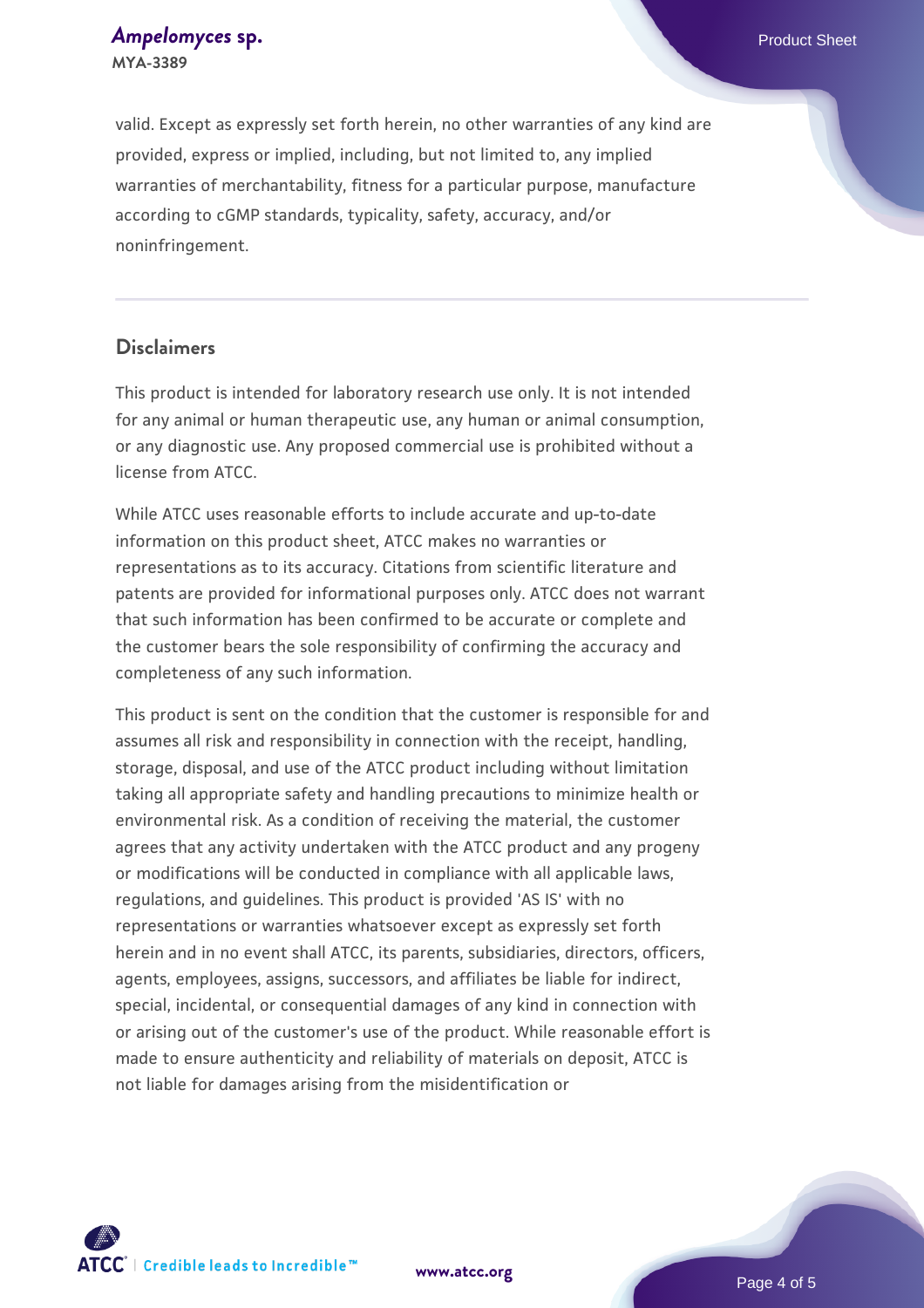*[Ampelomyces](https://www.atcc.org/products/mya-3389)* **[sp.](https://www.atcc.org/products/mya-3389)** *Ampelomyces* sp. **MYA-3389**

valid. Except as expressly set forth herein, no other warranties of any kind are provided, express or implied, including, but not limited to, any implied warranties of merchantability, fitness for a particular purpose, manufacture according to cGMP standards, typicality, safety, accuracy, and/or noninfringement.

#### **Disclaimers**

This product is intended for laboratory research use only. It is not intended for any animal or human therapeutic use, any human or animal consumption, or any diagnostic use. Any proposed commercial use is prohibited without a license from ATCC.

While ATCC uses reasonable efforts to include accurate and up-to-date information on this product sheet, ATCC makes no warranties or representations as to its accuracy. Citations from scientific literature and patents are provided for informational purposes only. ATCC does not warrant that such information has been confirmed to be accurate or complete and the customer bears the sole responsibility of confirming the accuracy and completeness of any such information.

This product is sent on the condition that the customer is responsible for and assumes all risk and responsibility in connection with the receipt, handling, storage, disposal, and use of the ATCC product including without limitation taking all appropriate safety and handling precautions to minimize health or environmental risk. As a condition of receiving the material, the customer agrees that any activity undertaken with the ATCC product and any progeny or modifications will be conducted in compliance with all applicable laws, regulations, and guidelines. This product is provided 'AS IS' with no representations or warranties whatsoever except as expressly set forth herein and in no event shall ATCC, its parents, subsidiaries, directors, officers, agents, employees, assigns, successors, and affiliates be liable for indirect, special, incidental, or consequential damages of any kind in connection with or arising out of the customer's use of the product. While reasonable effort is made to ensure authenticity and reliability of materials on deposit, ATCC is not liable for damages arising from the misidentification or



Page 4 of 5